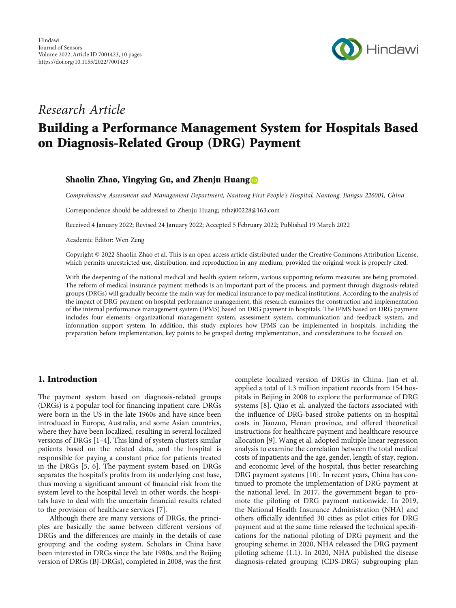

# Research Article

# Building a Performance Management System for Hospitals Based on Diagnosis-Related Group (DRG) Payment

# Shaolin Zhao, Yingying Gu, and Zhenju Huang

Comprehensive Assessment and Management Department, Nantong First People's Hospital, Nantong, Jiangsu 226001, China

Correspondence should be addressed to Zhenju Huang; nthzj00228@163.com

Received 4 January 2022; Revised 24 January 2022; Accepted 5 February 2022; Published 19 March 2022

Academic Editor: Wen Zeng

Copyright © 2022 Shaolin Zhao et al. This is an open access article distributed under the [Creative Commons Attribution License](https://creativecommons.org/licenses/by/4.0/), which permits unrestricted use, distribution, and reproduction in any medium, provided the original work is properly cited.

With the deepening of the national medical and health system reform, various supporting reform measures are being promoted. The reform of medical insurance payment methods is an important part of the process, and payment through diagnosis-related groups (DRGs) will gradually become the main way for medical insurance to pay medical institutions. According to the analysis of the impact of DRG payment on hospital performance management, this research examines the construction and implementation of the internal performance management system (IPMS) based on DRG payment in hospitals. The IPMS based on DRG payment includes four elements: organizational management system, assessment system, communication and feedback system, and information support system. In addition, this study explores how IPMS can be implemented in hospitals, including the preparation before implementation, key points to be grasped during implementation, and considerations to be focused on.

# 1. Introduction

The payment system based on diagnosis-related groups (DRGs) is a popular tool for financing inpatient care. DRGs were born in the US in the late 1960s and have since been introduced in Europe, Australia, and some Asian countries, where they have been localized, resulting in several localized versions of DRGs [\[1](#page-8-0)–[4\]](#page-9-0). This kind of system clusters similar patients based on the related data, and the hospital is responsible for paying a constant price for patients treated in the DRGs [\[5](#page-9-0), [6](#page-9-0)]. The payment system based on DRGs separates the hospital's profits from its underlying cost base, thus moving a significant amount of financial risk from the system level to the hospital level; in other words, the hospitals have to deal with the uncertain financial results related to the provision of healthcare services [\[7](#page-9-0)].

Although there are many versions of DRGs, the principles are basically the same between different versions of DRGs and the differences are mainly in the details of case grouping and the coding system. Scholars in China have been interested in DRGs since the late 1980s, and the Beijing version of DRGs (BJ-DRGs), completed in 2008, was the first complete localized version of DRGs in China. Jian et al. applied a total of 1.3 million inpatient records from 154 hospitals in Beijing in 2008 to explore the performance of DRG systems [\[8](#page-9-0)]. Qiao et al. analyzed the factors associated with the influence of DRG-based stroke patients on in-hospital costs in Jiaozuo, Henan province, and offered theoretical instructions for healthcare payment and healthcare resource allocation [[9\]](#page-9-0). Wang et al. adopted multiple linear regression analysis to examine the correlation between the total medical costs of inpatients and the age, gender, length of stay, region, and economic level of the hospital, thus better researching DRG payment systems [[10](#page-9-0)]. In recent years, China has continued to promote the implementation of DRG payment at the national level. In 2017, the government began to promote the piloting of DRG payment nationwide. In 2019, the National Health Insurance Administration (NHA) and others officially identified 30 cities as pilot cities for DRG payment and at the same time released the technical specifications for the national piloting of DRG payment and the grouping scheme; in 2020, NHA released the DRG payment piloting scheme (1.1). In 2020, NHA published the disease diagnosis-related grouping (CDS-DRG) subgrouping plan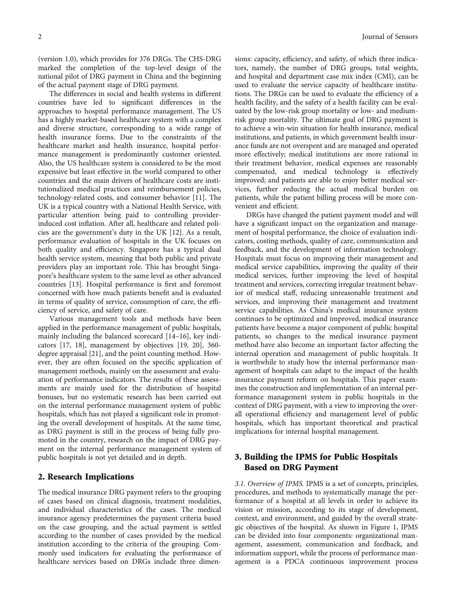(version 1.0), which provides for 376 DRGs. The CHS-DRG marked the completion of the top-level design of the national pilot of DRG payment in China and the beginning of the actual payment stage of DRG payment.

The differences in social and health systems in different countries have led to significant differences in the approaches to hospital performance management. The US has a highly market-based healthcare system with a complex and diverse structure, corresponding to a wide range of health insurance forms. Due to the constraints of the healthcare market and health insurance, hospital performance management is predominantly customer oriented. Also, the US healthcare system is considered to be the most expensive but least effective in the world compared to other countries and the main drivers of healthcare costs are institutionalized medical practices and reimbursement policies, technology-related costs, and consumer behavior [[11](#page-9-0)]. The UK is a typical country with a National Health Service, with particular attention being paid to controlling providerinduced cost inflation. After all, healthcare and related policies are the government's duty in the UK [\[12\]](#page-9-0). As a result, performance evaluation of hospitals in the UK focuses on both quality and efficiency. Singapore has a typical dual health service system, meaning that both public and private providers play an important role. This has brought Singapore's healthcare system to the same level as other advanced countries [\[13\]](#page-9-0). Hospital performance is first and foremost concerned with how much patients benefit and is evaluated in terms of quality of service, consumption of care, the efficiency of service, and safety of care.

Various management tools and methods have been applied in the performance management of public hospitals, mainly including the balanced scorecard [\[14](#page-9-0)–[16\]](#page-9-0), key indicators [\[17, 18](#page-9-0)], management by objectives [[19](#page-9-0), [20\]](#page-9-0), 360 degree appraisal [\[21\]](#page-9-0), and the point counting method. However, they are often focused on the specific application of management methods, mainly on the assessment and evaluation of performance indicators. The results of these assessments are mainly used for the distribution of hospital bonuses, but no systematic research has been carried out on the internal performance management system of public hospitals, which has not played a significant role in promoting the overall development of hospitals. At the same time, as DRG payment is still in the process of being fully promoted in the country, research on the impact of DRG payment on the internal performance management system of public hospitals is not yet detailed and in depth.

## 2. Research Implications

The medical insurance DRG payment refers to the grouping of cases based on clinical diagnosis, treatment modalities, and individual characteristics of the cases. The medical insurance agency predetermines the payment criteria based on the case grouping, and the actual payment is settled according to the number of cases provided by the medical institution according to the criteria of the grouping. Commonly used indicators for evaluating the performance of healthcare services based on DRGs include three dimen-

sions: capacity, efficiency, and safety, of which three indicators, namely, the number of DRG groups, total weights, and hospital and department case mix index (CMI), can be used to evaluate the service capacity of healthcare institutions. The DRGs can be used to evaluate the efficiency of a health facility, and the safety of a health facility can be evaluated by the low-risk group mortality or low- and mediumrisk group mortality. The ultimate goal of DRG payment is to achieve a win-win situation for health insurance, medical institutions, and patients, in which government health insurance funds are not overspent and are managed and operated more effectively; medical institutions are more rational in their treatment behavior, medical expenses are reasonably compensated, and medical technology is effectively improved; and patients are able to enjoy better medical services, further reducing the actual medical burden on patients, while the patient billing process will be more convenient and efficient.

DRGs have changed the patient payment model and will have a significant impact on the organization and management of hospital performance, the choice of evaluation indicators, costing methods, quality of care, communication and feedback, and the development of information technology. Hospitals must focus on improving their management and medical service capabilities, improving the quality of their medical services, further improving the level of hospital treatment and services, correcting irregular treatment behavior of medical staff, reducing unreasonable treatment and services, and improving their management and treatment service capabilities. As China's medical insurance system continues to be optimized and improved, medical insurance patients have become a major component of public hospital patients, so changes to the medical insurance payment method have also become an important factor affecting the internal operation and management of public hospitals. It is worthwhile to study how the internal performance management of hospitals can adapt to the impact of the health insurance payment reform on hospitals. This paper examines the construction and implementation of an internal performance management system in public hospitals in the context of DRG payment, with a view to improving the overall operational efficiency and management level of public hospitals, which has important theoretical and practical implications for internal hospital management.

# 3. Building the IPMS for Public Hospitals Based on DRG Payment

3.1. Overview of IPMS. IPMS is a set of concepts, principles, procedures, and methods to systematically manage the performance of a hospital at all levels in order to achieve its vision or mission, according to its stage of development, context, and environment, and guided by the overall strategic objectives of the hospital. As shown in Figure [1,](#page-2-0) IPMS can be divided into four components: organizational management, assessment, communication and feedback, and information support, while the process of performance management is a PDCA continuous improvement process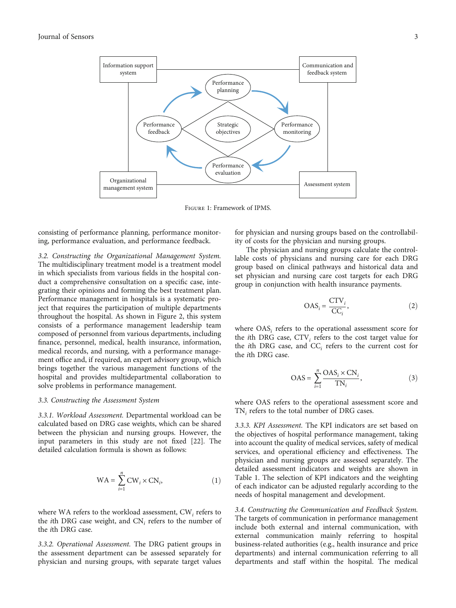<span id="page-2-0"></span>

Figure 1: Framework of IPMS.

consisting of performance planning, performance monitoring, performance evaluation, and performance feedback.

3.2. Constructing the Organizational Management System. The multidisciplinary treatment model is a treatment model in which specialists from various fields in the hospital conduct a comprehensive consultation on a specific case, integrating their opinions and forming the best treatment plan. Performance management in hospitals is a systematic project that requires the participation of multiple departments throughout the hospital. As shown in Figure [2](#page-3-0), this system consists of a performance management leadership team composed of personnel from various departments, including finance, personnel, medical, health insurance, information, medical records, and nursing, with a performance management office and, if required, an expert advisory group, which brings together the various management functions of the hospital and provides multidepartmental collaboration to solve problems in performance management.

### 3.3. Constructing the Assessment System

3.3.1. Workload Assessment. Departmental workload can be calculated based on DRG case weights, which can be shared between the physician and nursing groups. However, the input parameters in this study are not fixed [\[22](#page-9-0)]. The detailed calculation formula is shown as follows:

$$
WA = \sum_{i=1}^{n} CW_i \times CN_i,
$$
 (1)

where WA refers to the workload assessment, CW*<sup>i</sup>* refers to the *i*th DRG case weight, and CN*<sup>i</sup>* refers to the number of the *i*th DRG case.

3.3.2. Operational Assessment. The DRG patient groups in the assessment department can be assessed separately for physician and nursing groups, with separate target values

for physician and nursing groups based on the controllability of costs for the physician and nursing groups.

The physician and nursing groups calculate the controllable costs of physicians and nursing care for each DRG group based on clinical pathways and historical data and set physician and nursing care cost targets for each DRG group in conjunction with health insurance payments.

$$
OAS_i = \frac{CTV_i}{CC_i},\tag{2}
$$

where OAS*<sup>i</sup>* refers to the operational assessment score for the *i*th DRG case, CTV*<sup>i</sup>* refers to the cost target value for the *i*th DRG case, and CC*<sup>i</sup>* refers to the current cost for the *i*th DRG case.

$$
OAS = \sum_{i=1}^{n} \frac{OAS_i \times CN_i}{TN_i},
$$
 (3)

where OAS refers to the operational assessment score and TN*<sup>i</sup>* refers to the total number of DRG cases.

3.3.3. KPI Assessment. The KPI indicators are set based on the objectives of hospital performance management, taking into account the quality of medical services, safety of medical services, and operational efficiency and effectiveness. The physician and nursing groups are assessed separately. The detailed assessment indicators and weights are shown in Table [1.](#page-3-0) The selection of KPI indicators and the weighting of each indicator can be adjusted regularly according to the needs of hospital management and development.

3.4. Constructing the Communication and Feedback System. The targets of communication in performance management include both external and internal communication, with external communication mainly referring to hospital business-related authorities (e.g., health insurance and price departments) and internal communication referring to all departments and staff within the hospital. The medical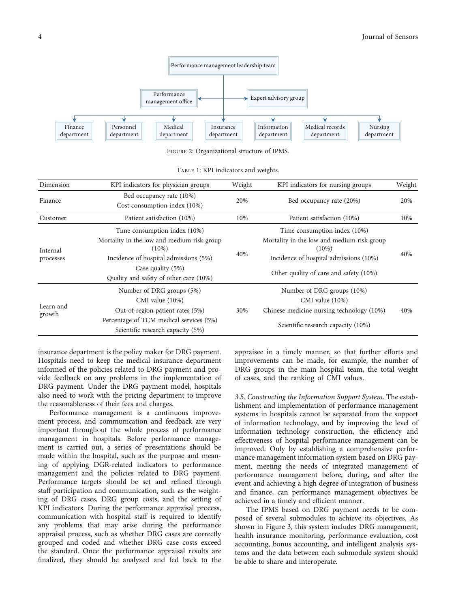<span id="page-3-0"></span>

Figure 2: Organizational structure of IPMS.

| TABLE 1: KPI indicators and weights. |  |
|--------------------------------------|--|
|--------------------------------------|--|

| Dimension             | KPI indicators for physician groups                                                                                                                                                              | Weight | KPI indicators for nursing groups                                                                                                                                          | Weight |
|-----------------------|--------------------------------------------------------------------------------------------------------------------------------------------------------------------------------------------------|--------|----------------------------------------------------------------------------------------------------------------------------------------------------------------------------|--------|
| Finance               | Bed occupancy rate (10%)<br>Cost consumption index (10%)                                                                                                                                         | 20%    | Bed occupancy rate (20%)                                                                                                                                                   | 20%    |
| Customer              | Patient satisfaction (10%)                                                                                                                                                                       | 10%    | Patient satisfaction (10%)                                                                                                                                                 | 10%    |
| Internal<br>processes | Time consumption index (10%)<br>Mortality in the low and medium risk group<br>$(10\%)$<br>Incidence of hospital admissions (5%)<br>Case quality $(5%)$<br>Quality and safety of other care (10%) | 40%    | Time consumption index (10%)<br>Mortality in the low and medium risk group<br>$(10\%)$<br>Incidence of hospital admissions (10%)<br>Other quality of care and safety (10%) | 40%    |
| Learn and<br>growth   | Number of DRG groups (5%)<br>CMI value $(10\%)$<br>Out-of-region patient rates (5%)<br>Percentage of TCM medical services (5%)<br>Scientific research capacity (5%)                              | 30%    | Number of DRG groups (10%)<br>CMI value (10%)<br>Chinese medicine nursing technology (10%)<br>Scientific research capacity (10%)                                           | 40%    |

insurance department is the policy maker for DRG payment. Hospitals need to keep the medical insurance department informed of the policies related to DRG payment and provide feedback on any problems in the implementation of DRG payment. Under the DRG payment model, hospitals also need to work with the pricing department to improve the reasonableness of their fees and charges.

Performance management is a continuous improvement process, and communication and feedback are very important throughout the whole process of performance management in hospitals. Before performance management is carried out, a series of presentations should be made within the hospital, such as the purpose and meaning of applying DGR-related indicators to performance management and the policies related to DRG payment. Performance targets should be set and refined through staff participation and communication, such as the weighting of DRG cases, DRG group costs, and the setting of KPI indicators. During the performance appraisal process, communication with hospital staff is required to identify any problems that may arise during the performance appraisal process, such as whether DRG cases are correctly grouped and coded and whether DRG case costs exceed the standard. Once the performance appraisal results are finalized, they should be analyzed and fed back to the

appraisee in a timely manner, so that further efforts and improvements can be made, for example, the number of DRG groups in the main hospital team, the total weight of cases, and the ranking of CMI values.

3.5. Constructing the Information Support System. The establishment and implementation of performance management systems in hospitals cannot be separated from the support of information technology, and by improving the level of information technology construction, the efficiency and effectiveness of hospital performance management can be improved. Only by establishing a comprehensive performance management information system based on DRG payment, meeting the needs of integrated management of performance management before, during, and after the event and achieving a high degree of integration of business and finance, can performance management objectives be achieved in a timely and efficient manner.

The IPMS based on DRG payment needs to be composed of several submodules to achieve its objectives. As shown in Figure [3,](#page-4-0) this system includes DRG management, health insurance monitoring, performance evaluation, cost accounting, bonus accounting, and intelligent analysis systems and the data between each submodule system should be able to share and interoperate.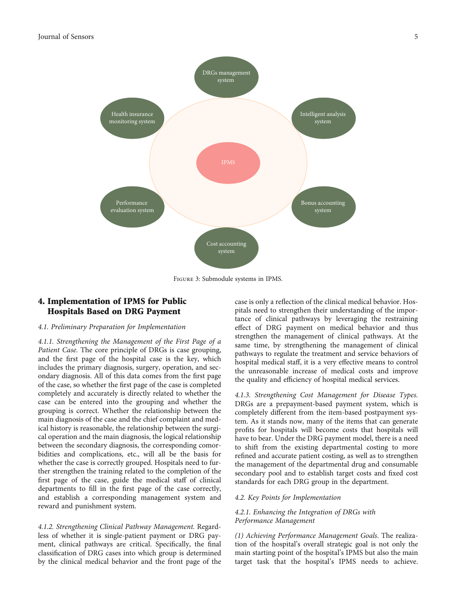<span id="page-4-0"></span>

Figure 3: Submodule systems in IPMS.

# 4. Implementation of IPMS for Public Hospitals Based on DRG Payment

#### 4.1. Preliminary Preparation for Implementation

4.1.1. Strengthening the Management of the First Page of a Patient Case. The core principle of DRGs is case grouping, and the first page of the hospital case is the key, which includes the primary diagnosis, surgery, operation, and secondary diagnosis. All of this data comes from the first page of the case, so whether the first page of the case is completed completely and accurately is directly related to whether the case can be entered into the grouping and whether the grouping is correct. Whether the relationship between the main diagnosis of the case and the chief complaint and medical history is reasonable, the relationship between the surgical operation and the main diagnosis, the logical relationship between the secondary diagnosis, the corresponding comorbidities and complications, etc., will all be the basis for whether the case is correctly grouped. Hospitals need to further strengthen the training related to the completion of the first page of the case, guide the medical staff of clinical departments to fill in the first page of the case correctly, and establish a corresponding management system and reward and punishment system.

4.1.2. Strengthening Clinical Pathway Management. Regardless of whether it is single-patient payment or DRG payment, clinical pathways are critical. Specifically, the final classification of DRG cases into which group is determined by the clinical medical behavior and the front page of the

case is only a reflection of the clinical medical behavior. Hospitals need to strengthen their understanding of the importance of clinical pathways by leveraging the restraining effect of DRG payment on medical behavior and thus strengthen the management of clinical pathways. At the same time, by strengthening the management of clinical pathways to regulate the treatment and service behaviors of hospital medical staff, it is a very effective means to control the unreasonable increase of medical costs and improve the quality and efficiency of hospital medical services.

4.1.3. Strengthening Cost Management for Disease Types. DRGs are a prepayment-based payment system, which is completely different from the item-based postpayment system. As it stands now, many of the items that can generate profits for hospitals will become costs that hospitals will have to bear. Under the DRG payment model, there is a need to shift from the existing departmental costing to more refined and accurate patient costing, as well as to strengthen the management of the departmental drug and consumable secondary pool and to establish target costs and fixed cost standards for each DRG group in the department.

#### 4.2. Key Points for Implementation

### 4.2.1. Enhancing the Integration of DRGs with Performance Management

(1) Achieving Performance Management Goals. The realization of the hospital's overall strategic goal is not only the main starting point of the hospital's IPMS but also the main target task that the hospital's IPMS needs to achieve.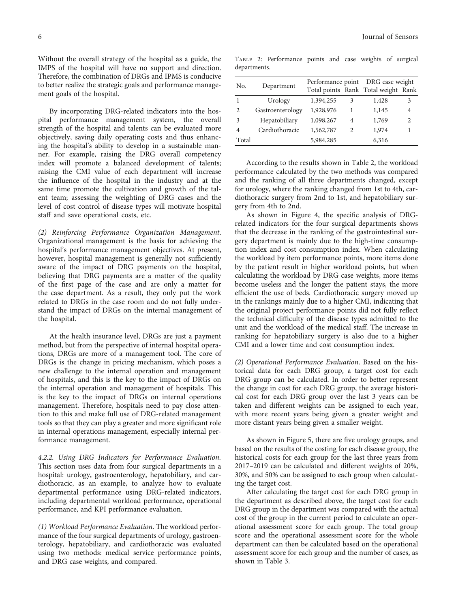Without the overall strategy of the hospital as a guide, the IMPS of the hospital will have no support and direction. Therefore, the combination of DRGs and IPMS is conducive to better realize the strategic goals and performance management goals of the hospital.

By incorporating DRG-related indicators into the hospital performance management system, the overall strength of the hospital and talents can be evaluated more objectively, saving daily operating costs and thus enhancing the hospital's ability to develop in a sustainable manner. For example, raising the DRG overall competency index will promote a balanced development of talents; raising the CMI value of each department will increase the influence of the hospital in the industry and at the same time promote the cultivation and growth of the talent team; assessing the weighting of DRG cases and the level of cost control of disease types will motivate hospital staff and save operational costs, etc.

(2) Reinforcing Performance Organization Management. Organizational management is the basis for achieving the hospital's performance management objectives. At present, however, hospital management is generally not sufficiently aware of the impact of DRG payments on the hospital, believing that DRG payments are a matter of the quality of the first page of the case and are only a matter for the case department. As a result, they only put the work related to DRGs in the case room and do not fully understand the impact of DRGs on the internal management of the hospital.

At the health insurance level, DRGs are just a payment method, but from the perspective of internal hospital operations, DRGs are more of a management tool. The core of DRGs is the change in pricing mechanism, which poses a new challenge to the internal operation and management of hospitals, and this is the key to the impact of DRGs on the internal operation and management of hospitals. This is the key to the impact of DRGs on internal operations management. Therefore, hospitals need to pay close attention to this and make full use of DRG-related management tools so that they can play a greater and more significant role in internal operations management, especially internal performance management.

4.2.2. Using DRG Indicators for Performance Evaluation. This section uses data from four surgical departments in a hospital: urology, gastroenterology, hepatobiliary, and cardiothoracic, as an example, to analyze how to evaluate departmental performance using DRG-related indicators, including departmental workload performance, operational performance, and KPI performance evaluation.

(1) Workload Performance Evaluation. The workload performance of the four surgical departments of urology, gastroenterology, hepatobiliary, and cardiothoracic was evaluated using two methods: medical service performance points, and DRG case weights, and compared.

Table 2: Performance points and case weights of surgical departments.

| No.            | Department       |           |                             | Performance point DRG case weight<br>Total points Rank Total weight Rank |                             |
|----------------|------------------|-----------|-----------------------------|--------------------------------------------------------------------------|-----------------------------|
| -1             | Urology          | 1,394,255 | 3                           | 1,428                                                                    | 3                           |
| 2              | Gastroenterology | 1,928,976 |                             | 1,145                                                                    | 4                           |
| 3              | Hepatobiliary    | 1,098,267 | 4                           | 1,769                                                                    | $\mathcal{D}_{\mathcal{A}}$ |
| $\overline{4}$ | Cardiothoracic   | 1,562,787 | $\mathcal{D}_{\mathcal{A}}$ | 1,974                                                                    |                             |
| Total          |                  | 5,984,285 |                             | 6,316                                                                    |                             |

According to the results shown in Table 2, the workload performance calculated by the two methods was compared and the ranking of all three departments changed, except for urology, where the ranking changed from 1st to 4th, cardiothoracic surgery from 2nd to 1st, and hepatobiliary surgery from 4th to 2nd.

As shown in Figure [4](#page-6-0), the specific analysis of DRGrelated indicators for the four surgical departments shows that the decrease in the ranking of the gastrointestinal surgery department is mainly due to the high-time consumption index and cost consumption index. When calculating the workload by item performance points, more items done by the patient result in higher workload points, but when calculating the workload by DRG case weights, more items become useless and the longer the patient stays, the more efficient the use of beds. Cardiothoracic surgery moved up in the rankings mainly due to a higher CMI, indicating that the original project performance points did not fully reflect the technical difficulty of the disease types admitted to the unit and the workload of the medical staff. The increase in ranking for hepatobiliary surgery is also due to a higher CMI and a lower time and cost consumption index.

(2) Operational Performance Evaluation. Based on the historical data for each DRG group, a target cost for each DRG group can be calculated. In order to better represent the change in cost for each DRG group, the average historical cost for each DRG group over the last 3 years can be taken and different weights can be assigned to each year, with more recent years being given a greater weight and more distant years being given a smaller weight.

As shown in Figure [5,](#page-6-0) there are five urology groups, and based on the results of the costing for each disease group, the historical costs for each group for the last three years from 2017–2019 can be calculated and different weights of 20%, 30%, and 50% can be assigned to each group when calculating the target cost.

After calculating the target cost for each DRG group in the department as described above, the target cost for each DRG group in the department was compared with the actual cost of the group in the current period to calculate an operational assessment score for each group. The total group score and the operational assessment score for the whole department can then be calculated based on the operational assessment score for each group and the number of cases, as shown in Table [3](#page-6-0).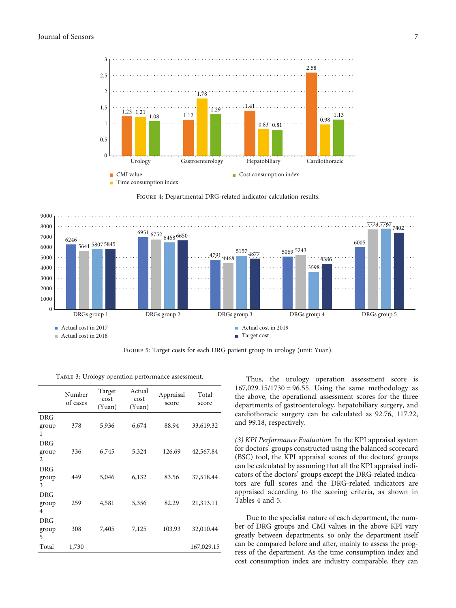<span id="page-6-0"></span>





Figure 5: Target costs for each DRG patient group in urology (unit: Yuan).

TABLE 3: Urology operation performance assessment.

|                          | Number<br>of cases | Target<br>cost<br>(Yuan) | Actual<br>cost<br>(Yuan) | Appraisal<br>score | Total<br>score |
|--------------------------|--------------------|--------------------------|--------------------------|--------------------|----------------|
| DRG<br>group<br>1        | 378                | 5,936                    | 6,674                    | 88.94              | 33,619.32      |
| <b>DRG</b><br>group<br>2 | 336                | 6,745                    | 5,324                    | 126.69             | 42,567.84      |
| <b>DRG</b><br>group<br>3 | 449                | 5,046                    | 6,132                    | 83.56              | 37,518.44      |
| DRG<br>group<br>4        | 259                | 4,581                    | 5,356                    | 82.29              | 21,313.11      |
| DRG<br>group<br>5        | 308                | 7,405                    | 7,125                    | 103.93             | 32,010.44      |
| Total                    | 1,730              |                          |                          |                    | 167,029.15     |

Thus, the urology operation assessment score is 167,029*:*15/1730 = 96*:*55. Using the same methodology as the above, the operational assessment scores for the three departments of gastroenterology, hepatobiliary surgery, and cardiothoracic surgery can be calculated as 92.76, 117.22, and 99.18, respectively.

(3) KPI Performance Evaluation. In the KPI appraisal system for doctors' groups constructed using the balanced scorecard (BSC) tool, the KPI appraisal scores of the doctors' groups can be calculated by assuming that all the KPI appraisal indicators of the doctors' groups except the DRG-related indicators are full scores and the DRG-related indicators are appraised according to the scoring criteria, as shown in Tables [4](#page-7-0) and [5](#page-7-0).

Due to the specialist nature of each department, the number of DRG groups and CMI values in the above KPI vary greatly between departments, so only the department itself can be compared before and after, mainly to assess the progress of the department. As the time consumption index and cost consumption index are industry comparable, they can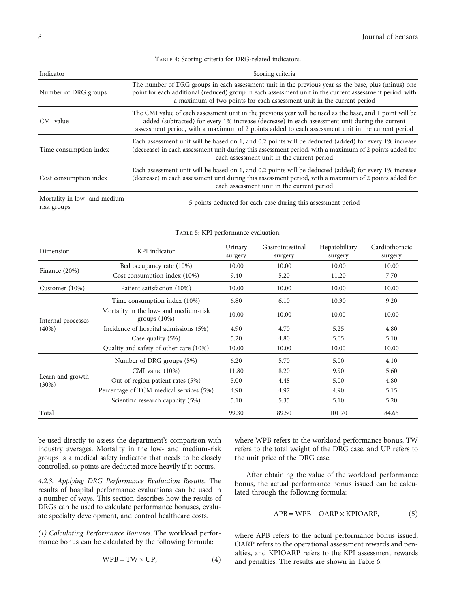Table 4: Scoring criteria for DRG-related indicators.

<span id="page-7-0"></span>

| Indicator                                    | Scoring criteria                                                                                                                                                                                                                                                                                                |  |  |
|----------------------------------------------|-----------------------------------------------------------------------------------------------------------------------------------------------------------------------------------------------------------------------------------------------------------------------------------------------------------------|--|--|
| Number of DRG groups                         | The number of DRG groups in each assessment unit in the previous year as the base, plus (minus) one<br>point for each additional (reduced) group in each assessment unit in the current assessment period, with<br>a maximum of two points for each assessment unit in the current period                       |  |  |
| CMI value                                    | The CMI value of each assessment unit in the previous year will be used as the base, and 1 point will be<br>added (subtracted) for every 1% increase (decrease) in each assessment unit during the current<br>assessment period, with a maximum of 2 points added to each assessment unit in the current period |  |  |
| Time consumption index                       | Each assessment unit will be based on 1, and 0.2 points will be deducted (added) for every 1% increase<br>(decrease) in each assessment unit during this assessment period, with a maximum of 2 points added for<br>each assessment unit in the current period                                                  |  |  |
| Cost consumption index                       | Each assessment unit will be based on 1, and 0.2 points will be deducted (added) for every 1% increase<br>(decrease) in each assessment unit during this assessment period, with a maximum of 2 points added for<br>each assessment unit in the current period                                                  |  |  |
| Mortality in low- and medium-<br>risk groups | 5 points deducted for each case during this assessment period                                                                                                                                                                                                                                                   |  |  |

#### TABLE 5: KPI performance evaluation.

| Dimension                    | KPI indicator                                            | Urinary<br>surgery | Gastrointestinal<br>surgery | Hepatobiliary<br>surgery | Cardiothoracic<br>surgery |
|------------------------------|----------------------------------------------------------|--------------------|-----------------------------|--------------------------|---------------------------|
| Finance $(20%)$              | Bed occupancy rate (10%)                                 | 10.00              | 10.00                       | 10.00                    | 10.00                     |
|                              | Cost consumption index (10%)                             | 9.40               | 5.20                        | 11.20                    | 7.70                      |
| Customer $(10\%)$            | Patient satisfaction (10%)                               | 10.00              | 10.00                       | 10.00                    | 10.00                     |
|                              | Time consumption index (10%)                             | 6.80               | 6.10                        | 10.30                    | 9.20                      |
| Internal processes           | Mortality in the low- and medium-risk<br>groups $(10\%)$ | 10.00              | 10.00                       | 10.00                    | 10.00                     |
| (40%)                        | Incidence of hospital admissions (5%)                    | 4.90               | 4.70                        | 5.25                     | 4.80                      |
|                              | Case quality (5%)                                        | 5.20               | 4.80                        | 5.05                     | 5.10                      |
|                              | Quality and safety of other care (10%)                   | 10.00              | 10.00                       | 10.00                    | 10.00                     |
|                              | Number of DRG groups (5%)                                | 6.20               | 5.70                        | 5.00                     | 4.10                      |
|                              | CMI value $(10\%)$                                       | 11.80              | 8.20                        | 9.90                     | 5.60                      |
| Learn and growth<br>$(30\%)$ | Out-of-region patient rates (5%)                         | 5.00               | 4.48                        | 5.00                     | 4.80                      |
|                              | Percentage of TCM medical services (5%)                  | 4.90               | 4.97                        | 4.90                     | 5.15                      |
|                              | Scientific research capacity (5%)                        | 5.10               | 5.35                        | 5.10                     | 5.20                      |
| Total                        |                                                          | 99.30              | 89.50                       | 101.70                   | 84.65                     |

be used directly to assess the department's comparison with industry averages. Mortality in the low- and medium-risk groups is a medical safety indicator that needs to be closely controlled, so points are deducted more heavily if it occurs.

4.2.3. Applying DRG Performance Evaluation Results. The results of hospital performance evaluations can be used in a number of ways. This section describes how the results of DRGs can be used to calculate performance bonuses, evaluate specialty development, and control healthcare costs.

(1) Calculating Performance Bonuses. The workload performance bonus can be calculated by the following formula:

$$
WPB = TW \times UP, \tag{4}
$$

where WPB refers to the workload performance bonus, TW refers to the total weight of the DRG case, and UP refers to the unit price of the DRG case.

After obtaining the value of the workload performance bonus, the actual performance bonus issued can be calculated through the following formula:

$$
APB = WPB + OARP \times KPIOARP, \tag{5}
$$

where APB refers to the actual performance bonus issued, OARP refers to the operational assessment rewards and penalties, and KPIOARP refers to the KPI assessment rewards and penalties. The results are shown in Table [6](#page-8-0).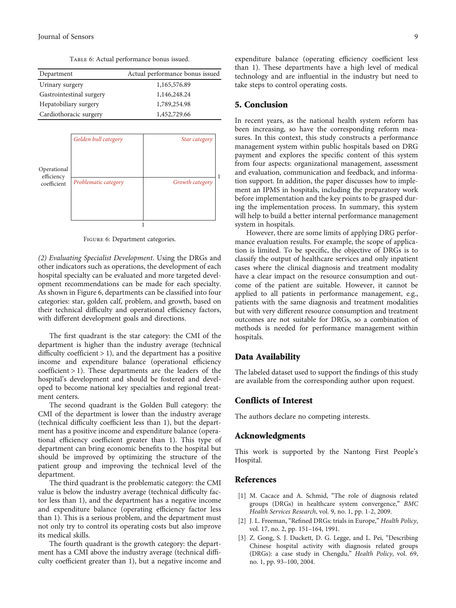Table 6: Actual performance bonus issued.

<span id="page-8-0"></span>

| Department               | Actual performance bonus issued |
|--------------------------|---------------------------------|
| Urinary surgery          | 1,165,576.89                    |
| Gastrointestinal surgery | 1,146,248.24                    |
| Hepatobiliary surgery    | 1,789,254.98                    |
| Cardiothoracic surgery   | 1,452,729.66                    |

|                           | Golden bull category | Star category   |
|---------------------------|----------------------|-----------------|
|                           |                      |                 |
|                           |                      |                 |
| Operational<br>efficiency |                      |                 |
| coefficient               | Problematic category | Growth category |
|                           |                      |                 |
|                           |                      |                 |
|                           |                      |                 |
|                           |                      |                 |

Figure 6: Department categories.

(2) Evaluating Specialist Development. Using the DRGs and other indicators such as operations, the development of each hospital specialty can be evaluated and more targeted development recommendations can be made for each specialty. As shown in Figure 6, departments can be classified into four categories: star, golden calf, problem, and growth, based on their technical difficulty and operational efficiency factors, with different development goals and directions.

The first quadrant is the star category: the CMI of the department is higher than the industry average (technical difficulty coefficient > 1), and the department has a positive income and expenditure balance (operational efficiency coefficient > 1). These departments are the leaders of the hospital's development and should be fostered and developed to become national key specialties and regional treatment centers.

The second quadrant is the Golden Bull category: the CMI of the department is lower than the industry average (technical difficulty coefficient less than 1), but the department has a positive income and expenditure balance (operational efficiency coefficient greater than 1). This type of department can bring economic benefits to the hospital but should be improved by optimizing the structure of the patient group and improving the technical level of the department.

The third quadrant is the problematic category: the CMI value is below the industry average (technical difficulty factor less than 1), and the department has a negative income and expenditure balance (operating efficiency factor less than 1). This is a serious problem, and the department must not only try to control its operating costs but also improve its medical skills.

The fourth quadrant is the growth category: the department has a CMI above the industry average (technical difficulty coefficient greater than 1), but a negative income and expenditure balance (operating efficiency coefficient less than 1). These departments have a high level of medical technology and are influential in the industry but need to take steps to control operating costs.

#### 5. Conclusion

In recent years, as the national health system reform has been increasing, so have the corresponding reform measures. In this context, this study constructs a performance management system within public hospitals based on DRG payment and explores the specific content of this system from four aspects: organizational management, assessment and evaluation, communication and feedback, and information support. In addition, the paper discusses how to implement an IPMS in hospitals, including the preparatory work before implementation and the key points to be grasped during the implementation process. In summary, this system will help to build a better internal performance management system in hospitals.

However, there are some limits of applying DRG performance evaluation results. For example, the scope of application is limited. To be specific, the objective of DRGs is to classify the output of healthcare services and only inpatient cases where the clinical diagnosis and treatment modality have a clear impact on the resource consumption and outcome of the patient are suitable. However, it cannot be applied to all patients in performance management, e.g., patients with the same diagnosis and treatment modalities but with very different resource consumption and treatment outcomes are not suitable for DRGs, so a combination of methods is needed for performance management within hospitals.

## Data Availability

The labeled dataset used to support the findings of this study are available from the corresponding author upon request.

## Conflicts of Interest

The authors declare no competing interests.

#### Acknowledgments

This work is supported by the Nantong First People's Hospital.

## References

- [1] M. Cacace and A. Schmid, "The role of diagnosis related groups (DRGs) in healthcare system convergence," BMC Health Services Research, vol. 9, no. 1, pp. 1-2, 2009.
- [2] J. L. Freeman, "Refined DRGs: trials in Europe," Health Policy, vol. 17, no. 2, pp. 151–164, 1991.
- [3] Z. Gong, S. J. Duckett, D. G. Legge, and L. Pei, "Describing Chinese hospital activity with diagnosis related groups (DRGs): a case study in Chengdu," Health Policy, vol. 69, no. 1, pp. 93–100, 2004.